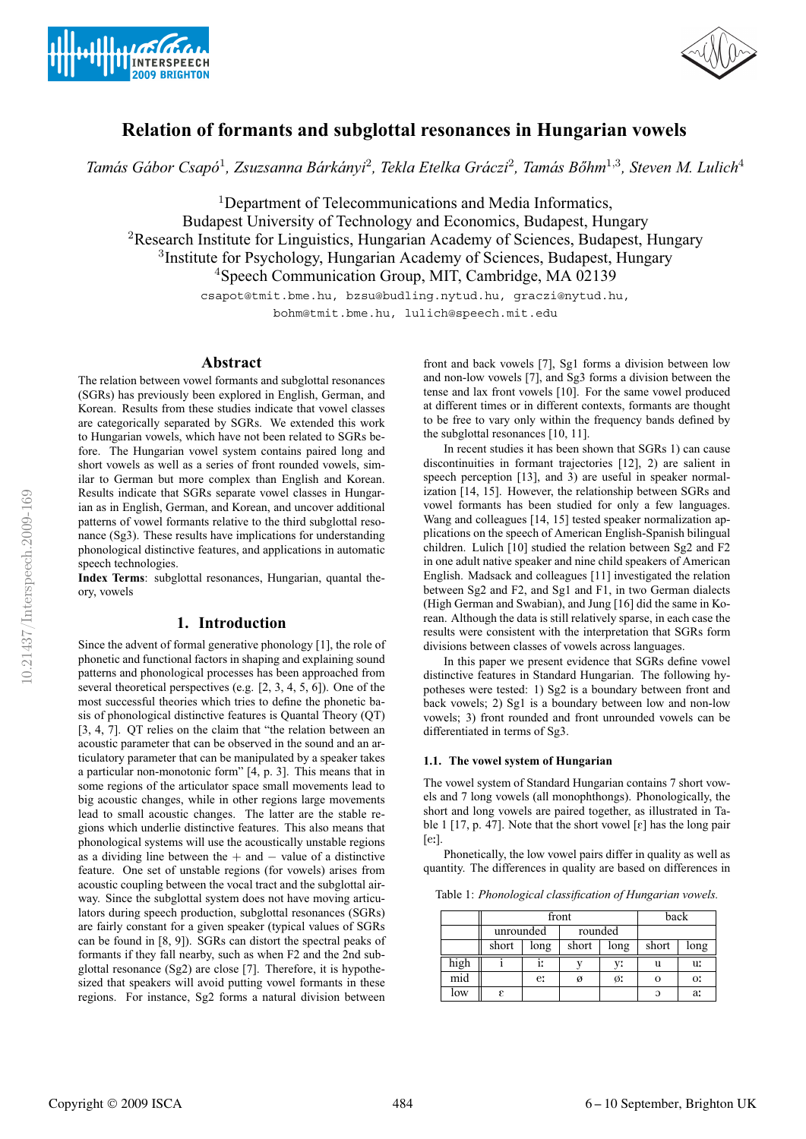



# **Relation of formants and subglottal resonances in Hungarian vowels**

Tamás Gábor Csapó<sup>1</sup>, Zsuzsanna Bárkányi<sup>2</sup>, Tekla Etelka Gráczi<sup>2</sup>, Tamás Bőhm<sup>1,3</sup>, Steven M. Lulich<sup>4</sup>

<sup>1</sup>Department of Telecommunications and Media Informatics, Budapest University of Technology and Economics, Budapest, Hungary <sup>2</sup>Research Institute for Linguistics, Hungarian Academy of Sciences, Budapest, Hungary <sup>3</sup>Institute for Psychology, Hungarian Academy of Sciences, Budapest, Hungary <sup>4</sup>Speech Communication Group, MIT, Cambridge, MA 02139

csapot@tmit.bme.hu, bzsu@budling.nytud.hu, graczi@nytud.hu, bohm@tmit.bme.hu, lulich@speech.mit.edu

### **Abstract**

The relation between vowel formants and subglottal resonances (SGRs) has previously been explored in English, German, and Korean. Results from these studies indicate that vowel classes are categorically separated by SGRs. We extended this work to Hungarian vowels, which have not been related to SGRs before. The Hungarian vowel system contains paired long and short vowels as well as a series of front rounded vowels, similar to German but more complex than English and Korean. Results indicate that SGRs separate vowel classes in Hungarian as in English, German, and Korean, and uncover additional patterns of vowel formants relative to the third subglottal resonance (Sg3). These results have implications for understanding phonological distinctive features, and applications in automatic speech technologies.

**Index Terms**: subglottal resonances, Hungarian, quantal theory, vowels

# **1. Introduction**

Since the advent of formal generative phonology [1], the role of phonetic and functional factors in shaping and explaining sound patterns and phonological processes has been approached from several theoretical perspectives (e.g. [2, 3, 4, 5, 6]). One of the most successful theories which tries to define the phonetic basis of phonological distinctive features is Quantal Theory (QT) [3, 4, 7]. QT relies on the claim that "the relation between an acoustic parameter that can be observed in the sound and an articulatory parameter that can be manipulated by a speaker takes a particular non-monotonic form" [4, p. 3]. This means that in some regions of the articulator space small movements lead to big acoustic changes, while in other regions large movements lead to small acoustic changes. The latter are the stable regions which underlie distinctive features. This also means that phonological systems will use the acoustically unstable regions as a dividing line between the  $+$  and  $-$  value of a distinctive feature. One set of unstable regions (for vowels) arises from acoustic coupling between the vocal tract and the subglottal airway. Since the subglottal system does not have moving articulators during speech production, subglottal resonances (SGRs) are fairly constant for a given speaker (typical values of SGRs can be found in [8, 9]). SGRs can distort the spectral peaks of formants if they fall nearby, such as when F2 and the 2nd subglottal resonance (Sg2) are close [7]. Therefore, it is hypothesized that speakers will avoid putting vowel formants in these regions. For instance, Sg2 forms a natural division between

front and back vowels [7], Sg1 forms a division between low and non-low vowels [7], and Sg3 forms a division between the tense and lax front vowels [10]. For the same vowel produced at different times or in different contexts, formants are thought to be free to vary only within the frequency bands defined by the subglottal resonances [10, 11].

In recent studies it has been shown that SGRs 1) can cause discontinuities in formant trajectories [12], 2) are salient in speech perception [13], and 3) are useful in speaker normalization [14, 15]. However, the relationship between SGRs and vowel formants has been studied for only a few languages. Wang and colleagues [14, 15] tested speaker normalization applications on the speech of American English-Spanish bilingual children. Lulich [10] studied the relation between Sg2 and F2 in one adult native speaker and nine child speakers of American English. Madsack and colleagues [11] investigated the relation between Sg2 and F2, and Sg1 and F1, in two German dialects (High German and Swabian), and Jung [16] did the same in Korean. Although the data is still relatively sparse, in each case the results were consistent with the interpretation that SGRs form divisions between classes of vowels across languages.

In this paper we present evidence that SGRs define vowel distinctive features in Standard Hungarian. The following hypotheses were tested: 1) Sg2 is a boundary between front and back vowels; 2) Sg1 is a boundary between low and non-low vowels; 3) front rounded and front unrounded vowels can be differentiated in terms of Sg3.

#### **1.1. The vowel system of Hungarian**

The vowel system of Standard Hungarian contains 7 short vowels and 7 long vowels (all monophthongs). Phonologically, the short and long vowels are paired together, as illustrated in Table 1 [17, p. 47]. Note that the short vowel  $\lceil \varepsilon \rceil$  has the long pair  $[e:]$ .

Phonetically, the low vowel pairs differ in quality as well as quantity. The differences in quality are based on differences in

Table 1: *Phonological classification of Hungarian vowels.*

|                         | front     |      |         |      | back  |      |
|-------------------------|-----------|------|---------|------|-------|------|
|                         | unrounded |      | rounded |      |       |      |
|                         | short     | long | short   | long | short | long |
| high                    |           | 11   |         | y:   | u     | u:   |
| $\overline{\text{mid}}$ |           | e:   | ø       | Ø.   |       | O!   |
| low                     | ε         |      |         |      | G     | a:   |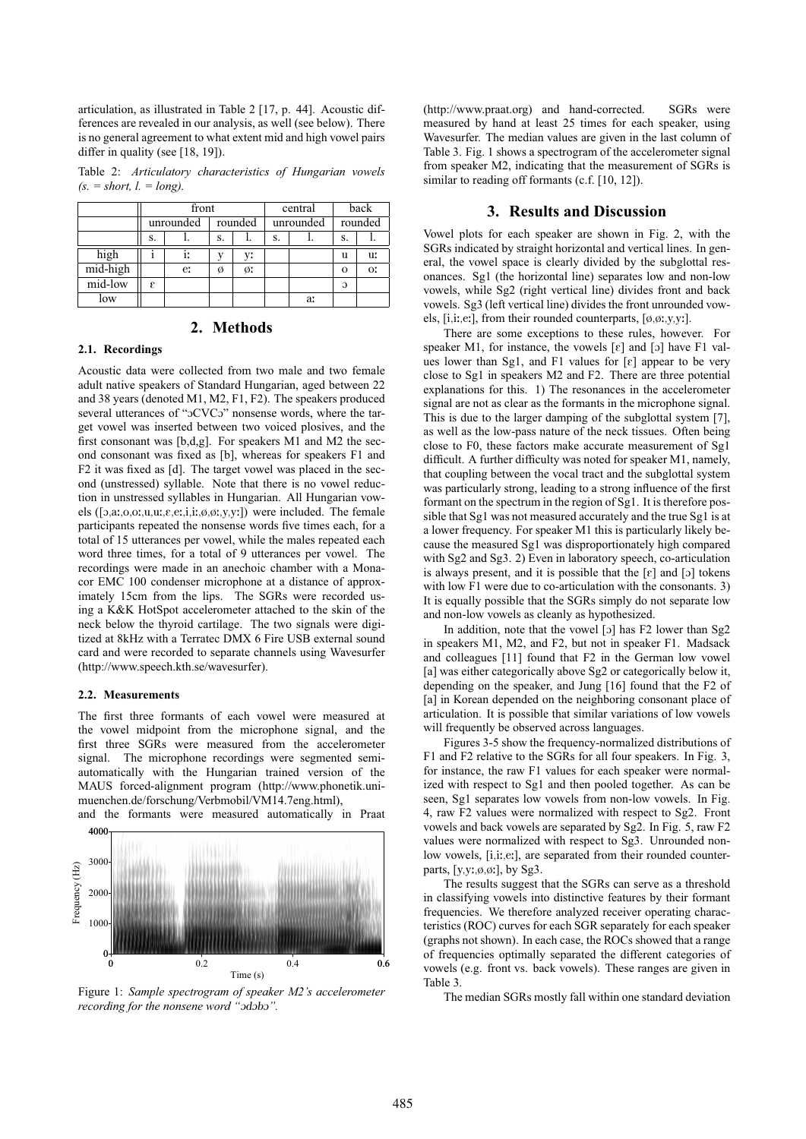articulation, as illustrated in Table 2 [17, p. 44]. Acoustic differences are revealed in our analysis, as well (see below). There is no general agreement to what extent mid and high vowel pairs differ in quality (see [18, 19]).

Table 2: *Articulatory characteristics of Hungarian vowels*  $(s. = short, l. = long).$ 

|          | front     |    |         |    | central   |    | back     |    |
|----------|-----------|----|---------|----|-----------|----|----------|----|
|          | unrounded |    | rounded |    | unrounded |    | rounded  |    |
|          | s.        |    | S.      |    | S.        |    | S.       |    |
| high     |           | i: |         | v: |           |    | u        | u: |
| mid-high |           | e: | Ø       | ø: |           |    | $\Omega$ | OI |
| mid-low  | E         |    |         |    |           |    | C        |    |
| low      |           |    |         |    |           | a: |          |    |

### **2. Methods**

### **2.1. Recordings**

Acoustic data were collected from two male and two female adult native speakers of Standard Hungarian, aged between 22 and 38 years (denoted M1, M2, F1, F2). The speakers produced several utterances of "oCVCo" nonsense words, where the target vowel was inserted between two voiced plosives, and the first consonant was [b,d,g]. For speakers M1 and M2 the second consonant was fixed as [b], whereas for speakers F1 and F2 it was fixed as [d]. The target vowel was placed in the second (unstressed) syllable. Note that there is no vowel reduction in unstressed syllables in Hungarian. All Hungarian vowels ( $[a,a, o, o; u, u; \varepsilon, e; i, i; \phi, \phi; v, v; v]$ ) were included. The female participants repeated the nonsense words five times each, for a total of 15 utterances per vowel, while the males repeated each word three times, for a total of 9 utterances per vowel. The recordings were made in an anechoic chamber with a Monacor EMC 100 condenser microphone at a distance of approximately 15cm from the lips. The SGRs were recorded using a K&K HotSpot accelerometer attached to the skin of the neck below the thyroid cartilage. The two signals were digitized at 8kHz with a Terratec DMX 6 Fire USB external sound card and were recorded to separate channels using Wavesurfer (http://www.speech.kth.se/wavesurfer).

#### **2.2. Measurements**

The first three formants of each vowel were measured at the vowel midpoint from the microphone signal, and the first three SGRs were measured from the accelerometer signal. The microphone recordings were segmented semiautomatically with the Hungarian trained version of the MAUS forced-alignment program (http://www.phonetik.unimuenchen.de/forschung/Verbmobil/VM14.7eng.html),





Figure 1: *Sample spectrogram of speaker M2's accelerometer recording for the nonsene word "odobo"*.

(http://www.praat.org) and hand-corrected. SGRs were measured by hand at least 25 times for each speaker, using Wavesurfer. The median values are given in the last column of Table 3. Fig. 1 shows a spectrogram of the accelerometer signal from speaker M2, indicating that the measurement of SGRs is similar to reading off formants (c.f. [10, 12]).

### **3. Results and Discussion**

Vowel plots for each speaker are shown in Fig. 2, with the SGRs indicated by straight horizontal and vertical lines. In general, the vowel space is clearly divided by the subglottal resonances. Sg1 (the horizontal line) separates low and non-low vowels, while Sg2 (right vertical line) divides front and back vowels. Sg3 (left vertical line) divides the front unrounded vowels, [i,i:,e:], from their rounded counterparts,  $[\phi, \phi, y, y:]$ .

There are some exceptions to these rules, however. For speaker M1, for instance, the vowels  $[\varepsilon]$  and  $[\circ]$  have F1 values lower than Sg1, and F1 values for  $\lceil \varepsilon \rceil$  appear to be very close to Sg1 in speakers M2 and F2. There are three potential explanations for this. 1) The resonances in the accelerometer signal are not as clear as the formants in the microphone signal. This is due to the larger damping of the subglottal system [7], as well as the low-pass nature of the neck tissues. Often being close to F0, these factors make accurate measurement of Sg1 difficult. A further difficulty was noted for speaker M1, namely, that coupling between the vocal tract and the subglottal system was particularly strong, leading to a strong influence of the first formant on the spectrum in the region of Sg1. It is therefore possible that Sg1 was not measured accurately and the true Sg1 is at a lower frequency. For speaker M1 this is particularly likely because the measured Sg1 was disproportionately high compared with Sg2 and Sg3. 2) Even in laboratory speech, co-articulation is always present, and it is possible that the  $\lceil \varepsilon \rceil$  and  $\lceil 5 \rceil$  tokens with low F1 were due to co-articulation with the consonants. 3) It is equally possible that the SGRs simply do not separate low and non-low vowels as cleanly as hypothesized.

In addition, note that the vowel  $[5]$  has F2 lower than Sg2 in speakers M1, M2, and F2, but not in speaker F1. Madsack and colleagues [11] found that F2 in the German low vowel [a] was either categorically above Sg2 or categorically below it, depending on the speaker, and Jung [16] found that the F2 of [a] in Korean depended on the neighboring consonant place of articulation. It is possible that similar variations of low vowels will frequently be observed across languages.

Figures 3-5 show the frequency-normalized distributions of F1 and F2 relative to the SGRs for all four speakers. In Fig. 3, for instance, the raw F1 values for each speaker were normalized with respect to Sg1 and then pooled together. As can be seen, Sg1 separates low vowels from non-low vowels. In Fig. 4, raw F2 values were normalized with respect to Sg2. Front vowels and back vowels are separated by Sg2. In Fig. 5, raw F2 values were normalized with respect to Sg3. Unrounded nonlow vowels, [i,i:,e:], are separated from their rounded counterparts,  $[v, v; \phi, \phi]$ , by Sg3.

The results suggest that the SGRs can serve as a threshold in classifying vowels into distinctive features by their formant frequencies. We therefore analyzed receiver operating characteristics (ROC) curves for each SGR separately for each speaker (graphs not shown). In each case, the ROCs showed that a range of frequencies optimally separated the different categories of vowels (e.g. front vs. back vowels). These ranges are given in Table 3.

The median SGRs mostly fall within one standard deviation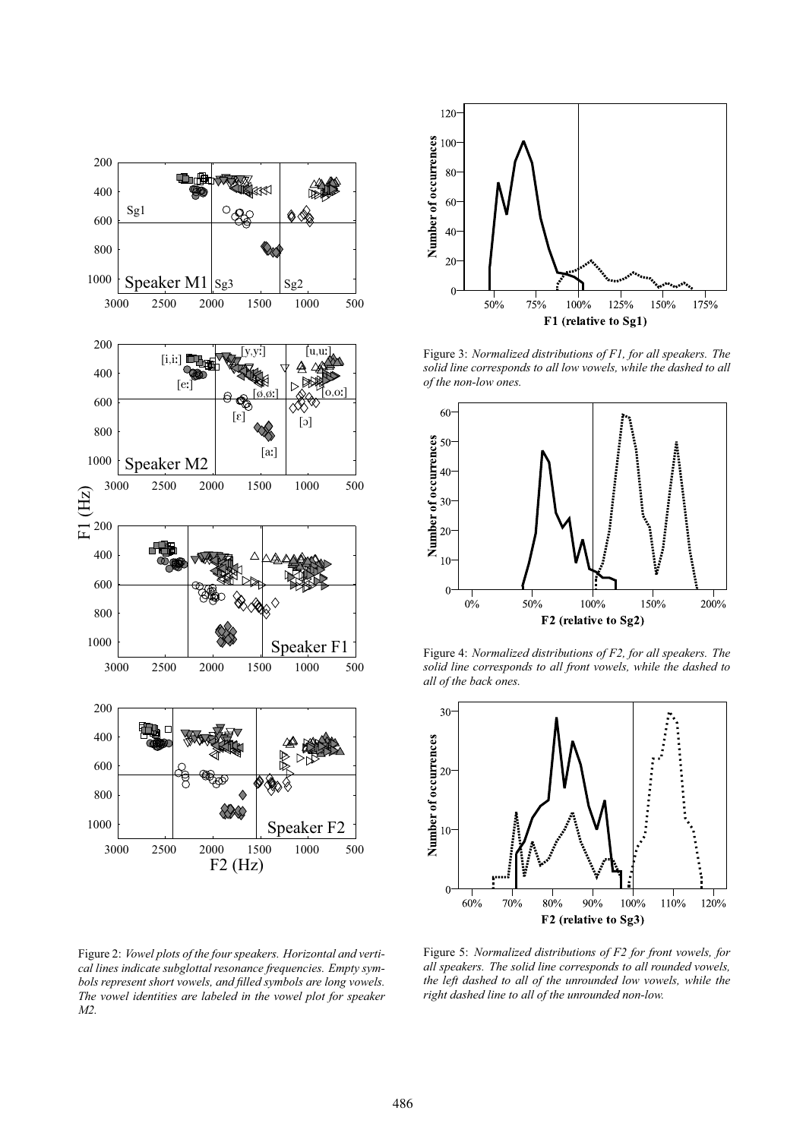

Figure 2: *Vowel plots of the four speakers. Horizontal and vertical lines indicate subglottal resonance frequencies. Empty symbols represent short vowels, and filled symbols are long vowels. The vowel identities are labeled in the vowel plot for speaker M2.*



Figure 3: *Normalized distributions of F1, for all speakers. The solid line corresponds to all low vowels, while the dashed to all of the non-low ones.*



Figure 4: *Normalized distributions of F2, for all speakers. The solid line corresponds to all front vowels, while the dashed to all of the back ones.*



Figure 5: *Normalized distributions of F2 for front vowels, for all speakers. The solid line corresponds to all rounded vowels, the left dashed to all of the unrounded low vowels, while the right dashed line to all of the unrounded non-low.*